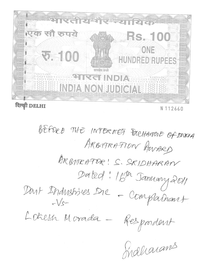

## N 112660

BEFORE THE INTERNET BREHANCIE OF DODIA ARBUTRATION AWARD BRBITRATOR! S. SRIDHARAN Dated: 16th January 2011 Dart Didristives Dre - Complainant Lokesh Morada -Respondent

fraharans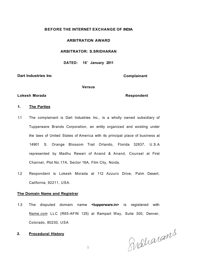#### **BEFORE THE INTERNET EXCHANGE OF INDIA**

#### **ARBITRATION AWARD**

#### **ARBITRATOR: S.SRIDHARAN**

**DATED: 16tn January 2011** 

#### **Dart Industries Inc Complainant Complainant**

#### **Versus**

#### **Lokesh Morada Respondent**

#### **1. The Parties**

- 1.1 The complainant is Dart Industries Inc., is a wholly owned subsidiary of Tupperware Brands Corporation, an entity organized and existing under the laws of United States of America with its principal place of business at 14901 S. Orange Blossom Trail Orlando, Florida 32837, U.S.A represented by Madhu Rewari of Anand & Anand, Counsel at First Channel, Plot No.17A, Sector 16A, Film City, Noida.
- 1.2 Respondent is Lokesh Morada at 112 Azzuro Drive, Palm Desert, California, 92211, USA.

#### **The Domain Name and Registrar**

1.3 The disputed domain name **<tupperware.in>** is registered with [Name.com](http://Name.com) LLC (R65-AFIN 125) at Rampart Way, Suite 300, Denver, Colorado, 80230, USA

 $\mathbf{1}$ 

**2. Procedural History** 

Svaliarans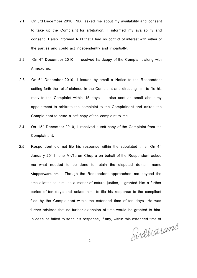- 2.1 On 3rd December 2010, NIXI asked me about my availability and consent to take up the Complaint for arbitration. I informed my availability and consent. I also informed NIXI that I had no conflict of interest with either of the parties and could act independently and impartially.
- 2.2 On 4<sup>th</sup> December 2010, I received hardcopy of the Complaint along with Annexures.
- 2.3 On  $6<sup>th</sup>$  December 2010, I issued by email a Notice to the Respondent setting forth the relief claimed in the Complaint and directing him to file his reply to the Complaint within 15 days. I also sent an email about my appointment to arbitrate the complaint to the Complainant and asked the Complainant to send a soft copy of the complaint to me.
- 2.4 On 15<sup>th</sup> December 2010, I received a soft copy of the Complaint from the Complainant.
- 2.5 Respondent did not file his response within the stipulated time. On  $4<sup>th</sup>$ January 2011, one Mr.Tarun Chopra on behalf of the Respondent asked me what needed to be done to retain the disputed domain name **<tupperware.in>.** Though the Respondent approached me beyond the time allotted to him, as a matter of natural justice, I granted him a further period of ten days and asked him to file his response to the compliant filed by the Complainant within the extended time of ten days. He was further advised that no further extension of time would be granted to him. In case he failed to send his response, if any, within this extended time of

Sudharams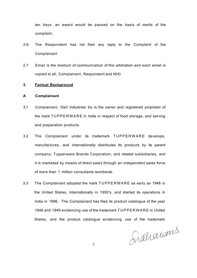ten days, an award would be passed on the basis of merits of the complaint.

- 2.6 The Respondent has not filed any reply to the Complaint of the Complainant.
- 2.7 Email is the medium of communication of this arbitration and each email is copied to all, Complainant, Respondent and NIXI.

### **3. Factual Background**

#### **A Complainant**

- 3.1 Complainant, Dart Industries Inc is the owner and registered proprietor of the mark TUPPERWARE in India in respect of food storage, and serving and preparation products.
- 3.2 The Complainant under its trademark TUPPERWARE develops, manufactures, and internationally distributes its products by its parent company, Tupperware Brands Corporation, and related subsidiaries, and it is marketed by means of direct sales through an independent sales force of more than 1 million consultants worldwide.
- 3.3 The Complainant adopted the mark TUPPERWARE as early as 1948 in the United States, internationally in 1950's, and started its operations in India in 1996. The Complainant has filed its product catalogue of the year 1948 and 1949 evidencing use of the trademark TUPPERWAR E in United States, and the product catalogue evidencing use of the trademark

Snallarams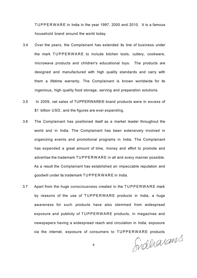TUPPERWAR E in India in the year 1997, 2000 and 2010. It is a famous household brand around the world today.

- 3.4 Over the years, the Complainant has extended its line of business under the mark TUPPERWARE to include kitchen tools, cutlery, cookware, microwave products and children's educational toys. The products are designed and manufactured with high quality standards and carry with them a lifetime warranty. The Complainant is known worldwide for its ingenious, high quality food storage, serving and preparation solutions.
- 3.5 In 2009, net sales of TUPPERWARE® brand products were in excess of \$1 billion USD, and the figures are ever expanding.
- 3.6 The Complainant has positioned itself as a market leader throughout the world and in India. The Complainant has been extensively involved in organizing events and promotional programs in India. The Complainant has expended a great amount of time, money and effort to promote and advertise the trademark TUPPERWAR E in all and every manner possible. As a result the Complainant has established an impeccable reputation and goodwill under its trademark TUPPERWAR E in India.
- 3.7 Apart from the huge consciousness created in the TUPPERWARE mark by reasons of the use of TUPPERWARE products in India, a huge awareness for such products have also stemmed from widespread exposure and publicity of TUPPERWARE products, in magazines and newspapers having a widespread reach and circulation in India, exposure

via the internet, exposure of consumers to TUPPERWARE products<br>4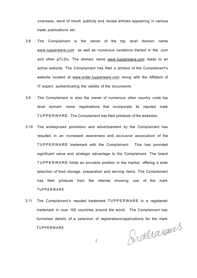overseas, word of mouth publicity and review articles appearing in various trade publications etc.

- 3.8 The Complainant is the owner of the top level domain name [www.tupperware.com](http://www.tupperware.com) as well as numerous variations thereof in the .com and other gTLDs. The domain name [www.tupperware.com](http://www.tupperware.com) leads to an active website. The Complainant has filed a printout of the Complainant's website located at [www.order.tupperware.com a](http://www.order.tupperware.com)long with the Affidavit of IT expert, authenticating the validity of the documents.
- 3.9 The Complainant is also the owner of numerous other country code top level domain name registrations that incorporate its reputed mark TUPPERWARE. The Complainant has filed printouts of the websites.
- 3.10 The widespread promotion and advertisement by the Complainant has resulted in an increased awareness and exclusive association of the TUPPERWARE trademark with the Complainant. This has provided significant value and strategic advantage to the Complainant. The brand TUPPERWARE holds an enviable position in the market, offering a wide selection of food storage, preparation and serving items. The Complainant has filed printouts from the internet showing use of the mark TUPPERWARE.
- 3.11 The Complainant's reputed trademark TUPPERWARE is a registered trademark in over 100 countries around the world. The Complainant has furnished details of a selection of registrations/applications for the mark TUPPERWARE.

Sidharams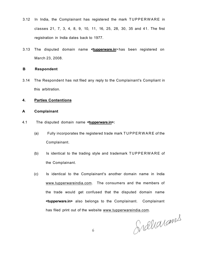- 3.12 In India, the Complainant has registered the mark TUPPERWARE in classes 21, 7, 3, 4, 8, 9, 10, 11, 16, 25, 28, 30, 35 and 41. The first registration in India dates back to 1977.
- 3.13 The disputed domain name **<tupperware.in**> has been registered on March 23, 2008.

#### **B Respondent**

3.14 The Respondent has not filed any reply to the Complainant's Compliant in this arbitration.

#### **4. Parties Contentions**

#### **A Complainant**

- 4.1 The disputed domain name **<tupperware.in>:** 
	- (a) Fully incorporates the registered trade mark TUPPERWARE of the Complainant.
	- (b) Is identical to the trading style and trademark TUPPERWARE of the Complainant.
	- (c) Is identical to the Complainant's another domain name in India [www.tupperwareindia.com.](http://www.tupperwareindia.com) The consumers and the members of the trade would get confused that the disputed domain name **<tupperware.in>** also belongs to the Complainant. Complainant has filed print out of the website [www.tupperwareindia.com.](http://www.tupperwareindia.com)

Snellarams

6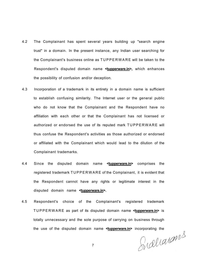- 4.2 The Complainant has spent several years building up "search engine trust" in a domain. In the present instance, any Indian user searching for the Complainant's business online as TUPPERWARE will be taken to the Respondent's disputed domain name **<tupperware.in>,** which enhances the possibility of confusion and/or deception.
- 4.3 Incorporation of a trademark in its entirety in a domain name is sufficient to establish confusing similarity. The Internet user or the general public who do not know that the Complainant and the Respondent have no affiliation with each other or that the Complainant has not licensed or authorized or endorsed the use of its reputed mark TUPPERWARE will thus confuse the Respondent's activities as those authorized or endorsed or affiliated with the Complainant which would lead to the dilution of the Complainant trademarks.
- 4.4 Since the disputed domain name **<tupperware.in>** comprises the registered trademark TUPPERWARE of the Complainant, it is evident that the Respondent cannot have any rights or legitimate interest in the disputed domain name **<tupperware.in>.**
- 4.5 Respondent's choice of the Complainant's registered trademark TUPPERWAR E as part of its disputed domain name **<tupperware.in>** is totally unnecessary and the sole purpose of carrying on business through

the use of the disputed domain name **<tupperware.in>** incorporating the<br>
7

7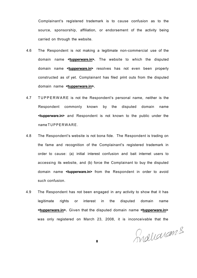Complainant's registered trademark is to cause confusion as to the source, sponsorship, affiliation, or endorsement of the activity being carried on through the website.

- 4.6 The Respondent is not making a legitimate non-commercial use of the domain name **<tupperware.in>.** The website to which the disputed domain name **<tupperware.in>** resolves has not even been properly constructed as of yet. Complainant has filed print outs from the disputed domain name **<tupperware.in>.**
- 4.7 TUPPERWARE is not the Respondent's personal name, neither is the Respondent commonly known by the disputed domain name **<tupperware.in>** and Respondent is not known to the public under the name TUPPERWARE.
- 4.8 The Respondent's website is not bona fide. The Respondent is trading on the fame and recognition of the Complainant's registered trademark in order to cause: (a) initial interest confusion and bait internet users to accessing its website, and (b) force the Complainant to buy the disputed domain name **<tupperware.in>** from the Respondent in order to avoid such confusion.
- 4.9 The Respondent has not been engaged in any activity to show that it has legitimate rights or interest in the disputed domain name **<tupperware.in>.** Given that the disputed domain name **<tupperware.in>**  was only registered on March 23, 2008, it is inconceivable that the

Siduarans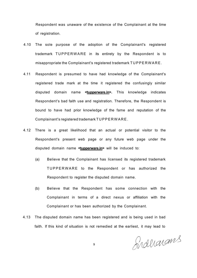Respondent was unaware of the existence of the Complainant at the time of registration.

- 4.10 The sole purpose of the adoption of the Complainant's registered trademark TUPPERWARE in its entirety by the Respondent is to misappropriate the Complainant's registered trademark TUPPERWARE.
- 4.11 Respondent is presumed to have had knowledge of the Complainant's registered trade mark at the time it registered the confusingly similar disputed domain name **<tupperware.in>.** This knowledge indicates Respondent's bad faith use and registration. Therefore, the Respondent is bound to have had prior knowledge of the fame and reputation of the Complainant's registered trademark TUPPERWARE.
- 4.12 There is a great likelihood that an actual or potential visitor to the Respondent's present web page or any future web page under the disputed domain name **<tupperware.in>** will be induced to:
	- (a) Believe that the Complainant has licensed its registered trademark TUPPERWARE to the Respondent or has authorized the Respondent to register the disputed domain name.
	- (b) Believe that the Respondent has some connection with the Complainant in terms of a direct nexus or affiliation with the Complainant or has been authorized by the Complainant.
- 4.13 The disputed domain name has been registered and is being used in bad faith. If this kind of situation is not remedied at the earliest, it may lead to

Sidharans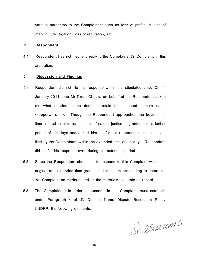various hardships to the Complainant such as loss of profits, dilution of mark, future litigation, loss of reputation, etc.

### **B. Respondent**

4.14 Respondent has not filed any reply to the Complainant's Complaint in this arbitration.

#### **5. Discussion and Findings**

- 5.1 Respondent did not file his response within the stipulated time. On  $4<sup>th</sup>$ January 2011, one Mr.Tarun Chopra on behalf of the Respondent asked me what needed to be done to retain the disputed domain name <tupperware.in>. Though the Respondent approached me beyond the time allotted to him, as a matter of natural justice, I granted him a further period of ten days and asked him to file his response to the compliant filed by the Complainant within the extended time of ten days. Respondent did not file his response even during this extended period.
- 5.2 Since the Respondent chose not to respond to this Complaint within the original and extended time granted to him, I am proceeding to determine this Complaint on merits based on the materials available on record.
- 5.3 The Complainant in order to succeed in the Complaint must establish under Paragraph 4 of .IN Domain Name Dispute Resolution Policy (INDRP) the following elements:

Sidharams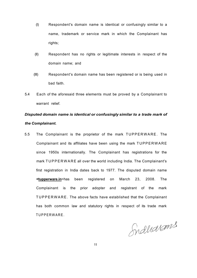- (I) Respondent's domain name is identical or confusingly similar to a name, trademark or service mark in which the Complainant has rights;
- (II) Respondent has no rights or legitimate interests in respect of the domain name; and
- (III) Respondent's domain name has been registered or is being used in bad faith.
- 5.4 Each of the aforesaid three elements must be proved by a Complainant to warrant relief.

# *Disputed domain name is identical or confusingly similar to a trade mark of the Complainant.*

5.5 The Complainant is the proprietor of the mark TUPPERWARE. The Complainant and its affiliates have been using the mark TUPPERWARE since 1950s internationally. The Complainant has registrations for the mark TUPPERWARE all over the world including India. The Complainant's first registration in India dates back to 1977. The disputed domain name **<tupperware.in**>has been registered on March 23, 2008. The Complainant is the prior adopter and registrant of the mark TUPPERWARE. The above facts have established that the Complainant has both common law and statutory rights in respect of its trade mark TUPPERWARE.

Induarans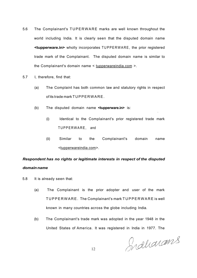- 5.6 The Complainant's TUPERWARE marks are well known throughout the world including India. It is clearly seen that the disputed domain name **<tupperware.in>** wholly incorporates TUPPERWARE, the prior registered trade mark of the Complainant. The disputed domain name is similar to the Complainant's domain name < [tupperwareindia.com](http://tupperwareindia.com) >.
- 5.7 I, therefore, find that:
	- (a) The Complaint has both common law and statutory rights in respect of its trade mark TUPPERWARE.
	- (b) The disputed domain name **<tupperware.in>** is:
		- (i) Identical to the Complainant's prior registered trade mark TUPPERWARE, and
		- (ii) Similar to the Complainant's domain name <tupperwareindia.com>.

## *Respondent has no rights or legitimate interests in respect of the disputed domain name*

- 5.8 It is already seen that:
	- (a) The Complainant is the prior adopter and user of the mark TUPPERWARE. The Complainant's mark TUPPERWARE is well known in many countries across the globe including India.
	- (b) The Complainant's trade mark was adopted in the year 1948 in the United States of America. It was registered in India in 1977. The

Indharans

•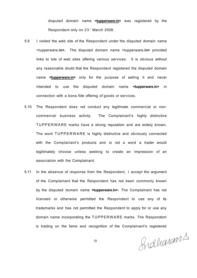disputed domain name **<tupperware.in>** was registered by the Respondent only on 23<sup>rd</sup> March 2008.

- 5.9 I visited the web site of the Respondent under the disputed domain name <tupperware**.in>.** The disputed domain name <tupperware**.in>** provided links to lots of web sites offering various services. It is obvious without any reasonable doubt that the Respondent registered the disputed domain name <tupperware.in> only for the purpose of selling it and never intended to use the disputed domain name **<tupperware.in>** in connection with a bona fide offering of goods or services.
- 5.10 The Respondent does not conduct any legitimate commercial or noncommercial business activity. The Complainant's highly distinctive TUPPERWARE marks have a strong reputation and are widely known. The word TUPPERWARE is highly distinctive and obviously connected with the Complainant's products and is not a word a trader would legitimately choose unless seeking to create an impression of an association with the Complainant.
- 5.11 In the absence of response from the Respondent, I accept the argument of the Complainant that the Respondent has not been commonly known by the disputed domain name **<tupperware.in>.** The Complainant has not licensed or otherwise permitted the Respondent to use any of its trademarks and has not permitted the Respondent to apply for or use any domain name incorporating the TUPPERWARE marks. The Respondent is trading on the fame and recognition of the Complainant's registered

Graharams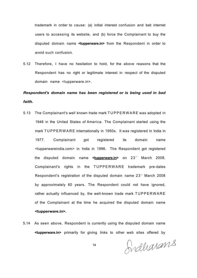trademark in order to cause: (a) initial interest confusion and bait internet users to accessing its website, and (b) force the Complainant to buy the disputed domain name **<tupperware.in>** from the Respondent in order to avoid such confusion.

5.12 Therefore, I have no hesitation to hold, for the above reasons that the Respondent has no right or legitimate interest in respect of the disputed domain name <tupperware.in>.

# *Respondent's domain name has been registered or is being used in bad faith.*

- 5.13 The Complainant's well known trade mark TUPPERWAR E was adopted in 1948 in the United States of America. The Complainant started using the mark TUPPERWARE internationally in 1950s. It was registered in India in 1977. Complainant got registered its domain name <tupperwareindia.com> in India in 1996. The Respondent got registered the disputed domain name **<<u>tupperware.in</u>>** on 23″ March 2008. Complainant's rights in the TUPPERWARE trademark pre-dates Respondent's registration of the disputed domain name 23<sup>th</sup> March 2008 by approximately 60 years. The Respondent could not have ignored, rather actually influenced by, the well-known trade mark TUPPERWARE of the Complainant at the time he acquired the disputed domain name **<tupperware.in>.**
- 5.14 As seen above, Respondent is currently using the disputed domain name **<tupperware.in>** primarily for giving links to other web sites offered by

Sidharans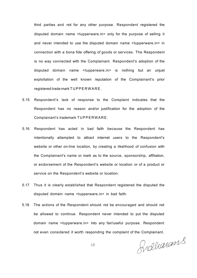third parties and not for any other purpose. Respondent registered the disputed domain name <tupperware.in> only for the purpose of selling it and never intended to use the disputed domain name <tupperware.in> in connection with a bona fide offering of goods or services. The Respondent is no way connected with the Complainant. Respondent's adoption of the disputed domain name <tupperware.in> is nothing but an unjust exploitation of the well known reputation of the Complainant's prior registered trade mark TUPPERWARE.

- 5.15 Respondent's lack of response to the Complaint indicates that the Respondent has no reason and/or justification for the adoption of the Complainant's trademark TUPPERWARE.
- 5.16 Respondent has acted in bad faith because the Respondent has intentionally attempted to attract internet users to the Respondent's website or other on-line location, by creating a likelihood of confusion with the Complainant's name or mark as to the source, sponsorship, affiliation, or endorsement of the Respondent's website or location or of a product or service on the Respondent's website or location.
- 5.17 Thus it is clearly established that Respondent registered the disputed the disputed domain name <tupperware.in> in bad faith.
- 5.18 The actions of the Respondent should not be encouraged and should not be allowed to continue. Respondent never intended to put the disputed domain name <tupperware.in> into any fair/useful purpose. Respondent not even considered it worth responding the complaint of the Complainant.

Graharans